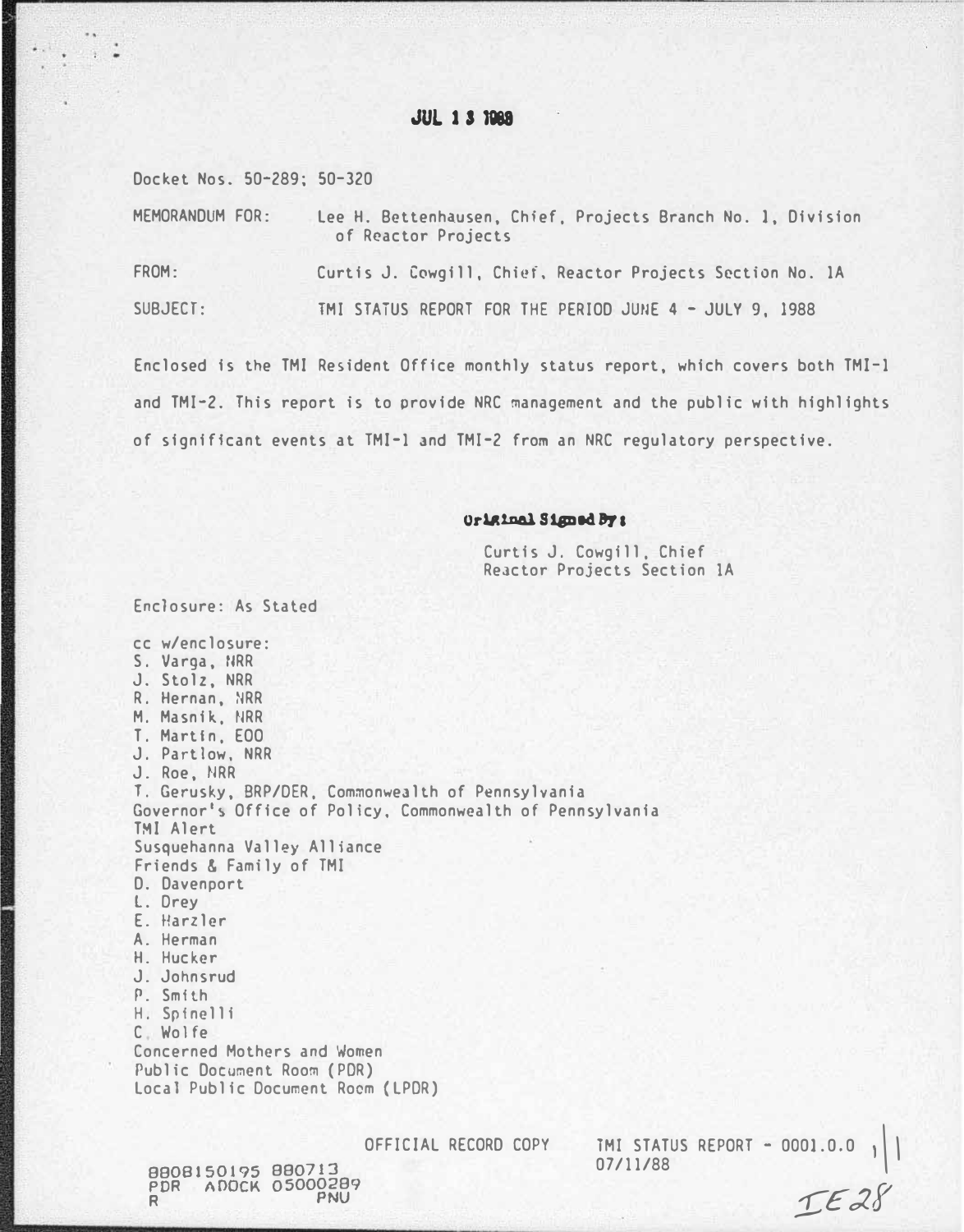# JUL J S 1888

Docket Nos. 50-289; 50-320

MEMORANDUM FOR: lee H. Bettenhausen, Chief, Projects Branch No. 1, Division of Reactor Projects FROM: Curtis J. Cowgill, Chief, Reactor Projects Section No. 1A SUBJECT: TMI STATUS REPORT FOR THE PERIOD JUNE 4 - JULY 9, 1988

Enclosed is the TMI Resident Office monthly status report, which covers both TMI-1 and TMI-2. This report is to provide NRC management and the public with highlights of significant events at TMI-1 and TMI-2 from an NRC regulatory perspective.

### Original Signed By:

Curtis J. Cowgill, Chief Reactor Projects Section 1A

Enclosure: As Stated

cc w/enclosure: S. Varga, IIRR J. Stolz, NRR R. Hernan, NRR M. Masnik. NRR T. Martin, EOO J. Partlow. NRR J. Roe, NRR T. Gerusky, BRP/DER, Commonwealth of Pennsylvania Governor's Office of Policy, Commonwealth of Pennsylvania TMI Alert Susquehanna Valley Alliance Friends & Family of TMI D. Davenport L. Drey E. Harzler A. Herman H. Hucker J. Johnsrud P. Smith H. Spinelli C Wolfe Concerned Mothers and Women Public Document Room (POR) local Public Document Room (lPOR)

88001501?5 880713 PDR ADOCK 05000289

OFFICIAL RECORD COPY 1MI STATUS REPORT - 0001.0.0<br>07/11/88

 $TE28$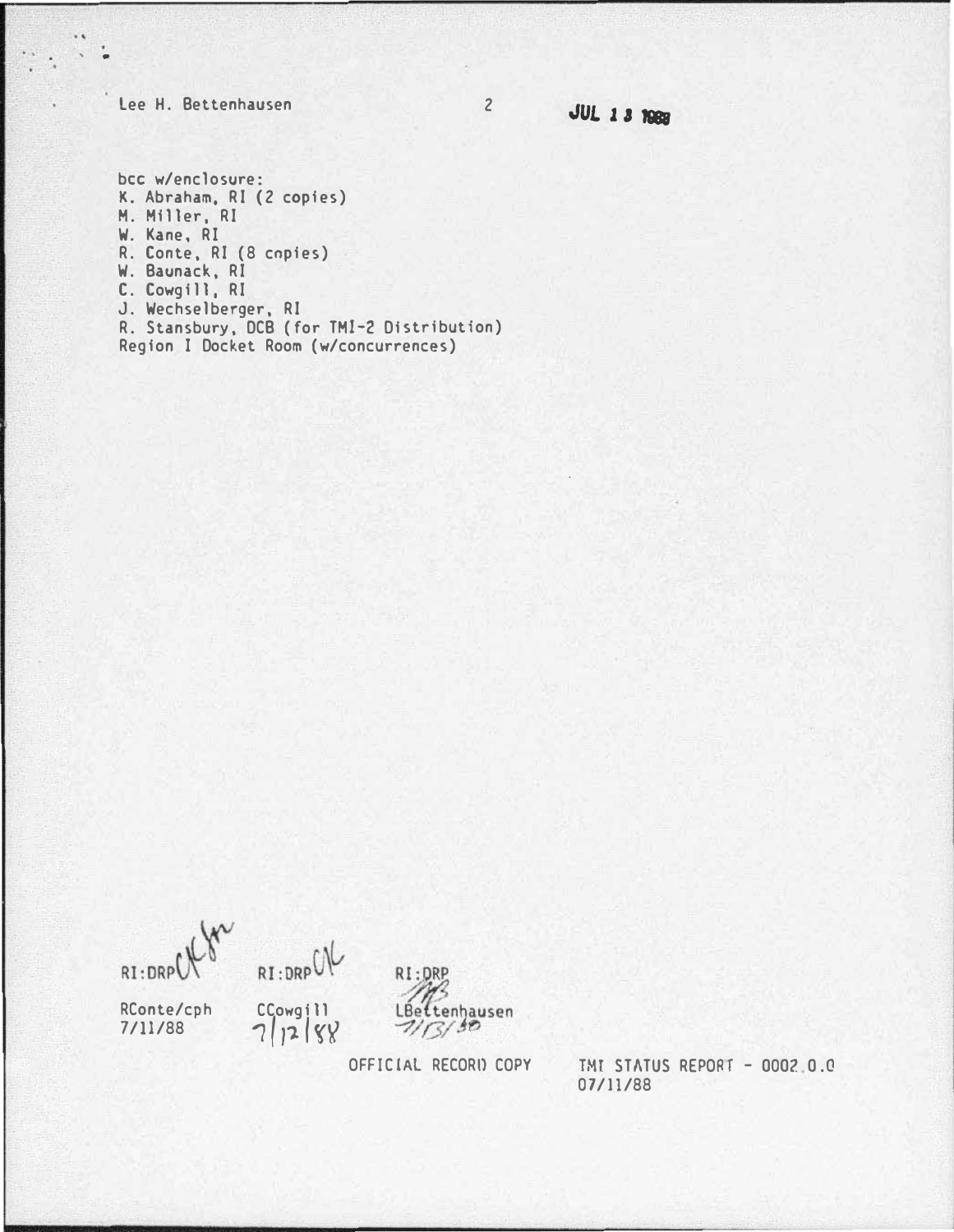Lee H. Bettenhausen

' .

**JUL 1 3 1988** 

bee w/enclosure: K. Abraham, RI (2 copies) M. Miller, RI W. Kane, RI R. Conte, RI (8 cnpies) W. Baunack, RI C. Cowgill, RI J. Wechselberger, RI R. Stansbury, DCB (for TMI-2 Distribution) Region I Docket Room (w/concurrences)

RI:DRP





OFFIC!AL RECORD COPY

**TMI STATUS REPORT - 0002.0.0** 07/11/88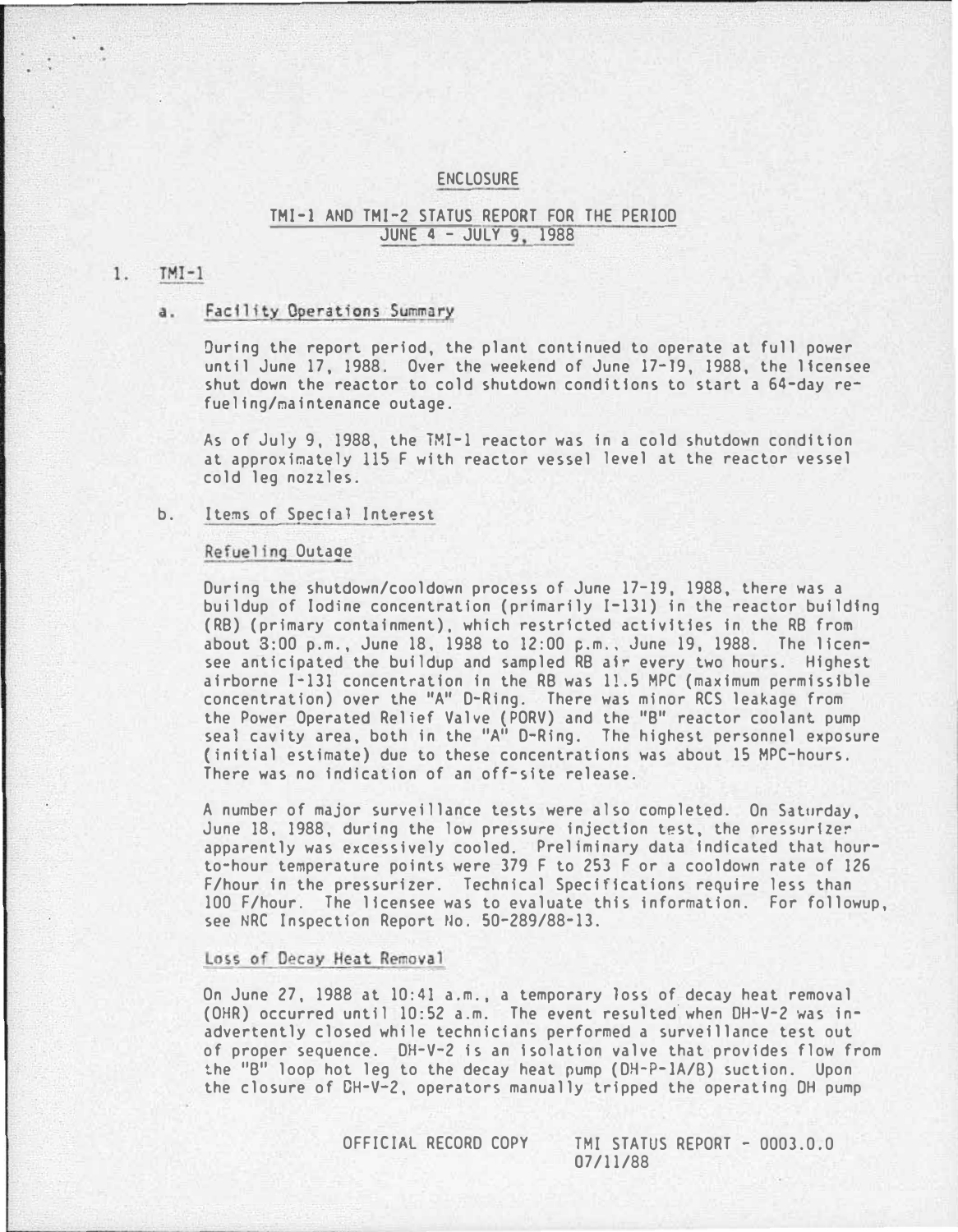## ENCLOSURE

## TMI-1 AND TMI-2 STATUS REPORT FOR THE PERIOD JUNE 4 - JULY 9, 1988

#### $1.$  $TMI-1$

#### a. Facility Operations Summary

During the report period, the plant continued to operate at full power until June 17, 1988. Over the weekend of June 17-19, 1988, the licensee shut down the reactor to cold shutdown conditions to start a 64-day refueling/�aintenance outage.

As of July 9, 1988, the TMI-1 reactor was in a cold shutdown condition at approximately 115 F with reactor vessel level at the reactor vessel cold leg nozzles.

#### b. Items of Special Interest

#### Refueling Outaoe

During the shutdown/cooldown process of June 17-19, 1988, there was a buildup of Iodine concentration (primarily I-131) in the reactor building (RB) (primary containment), which restricted activities in the RB from about 8:00 p.m., June 18, 1988 to 12:00 p.m .• June 19, 1988. The licensee anticipated the buildup and sampled RB afr every two hours. Highest airborne I-131 concentration in the RB was 11.5 MPC (maximum permissible concentration) over the "A" D-Ring. There was minor RCS leakage from the Power Operated Relief Valve {PORV) and the "B" reactor coolant pump seal cavity area, both in the "A" D-Ring. The highest personnel exposure {initial estimate) due to these concentrations was about 15 MPC-hours. There was no indication of an off-site release.

A number of major surveillance tests were also completed. On Saturday, June 18, 1988, during the low pressure injection test, the pressurizer apparently was excessively cooled. Preliminary data Indicated that hourto-hour temperature points were 379 F to 253 F or a cooldown rate of 126 F/hour in the pressurizer. Technical Specifications require less than 100 F/hour. The licensee was to evaluate this Information. For followup, see NRC Inspection Report No. 50-289/88-13.

## Loss of Decay Heat Removal

On June 27, 1988 at 10:41 a.m., a temporary loss of decay heat removal (OHR) occurred until 10:52 a.m. The event resulted.when DH-V-2 was inadvertently closed while technicians performed a surveillance test out of proper sequence. DH-V-2 is an Isolation valve that provides flow from the "B" loop hot leg to the decay heat pump (DH-P-IA/8) suction. Upon the closure of DH-V-2, operators manually tripped the operating OH pump

OFFICIAL RECORD COPY TMI STATUS REPORT - 0003.0.0 07/11/88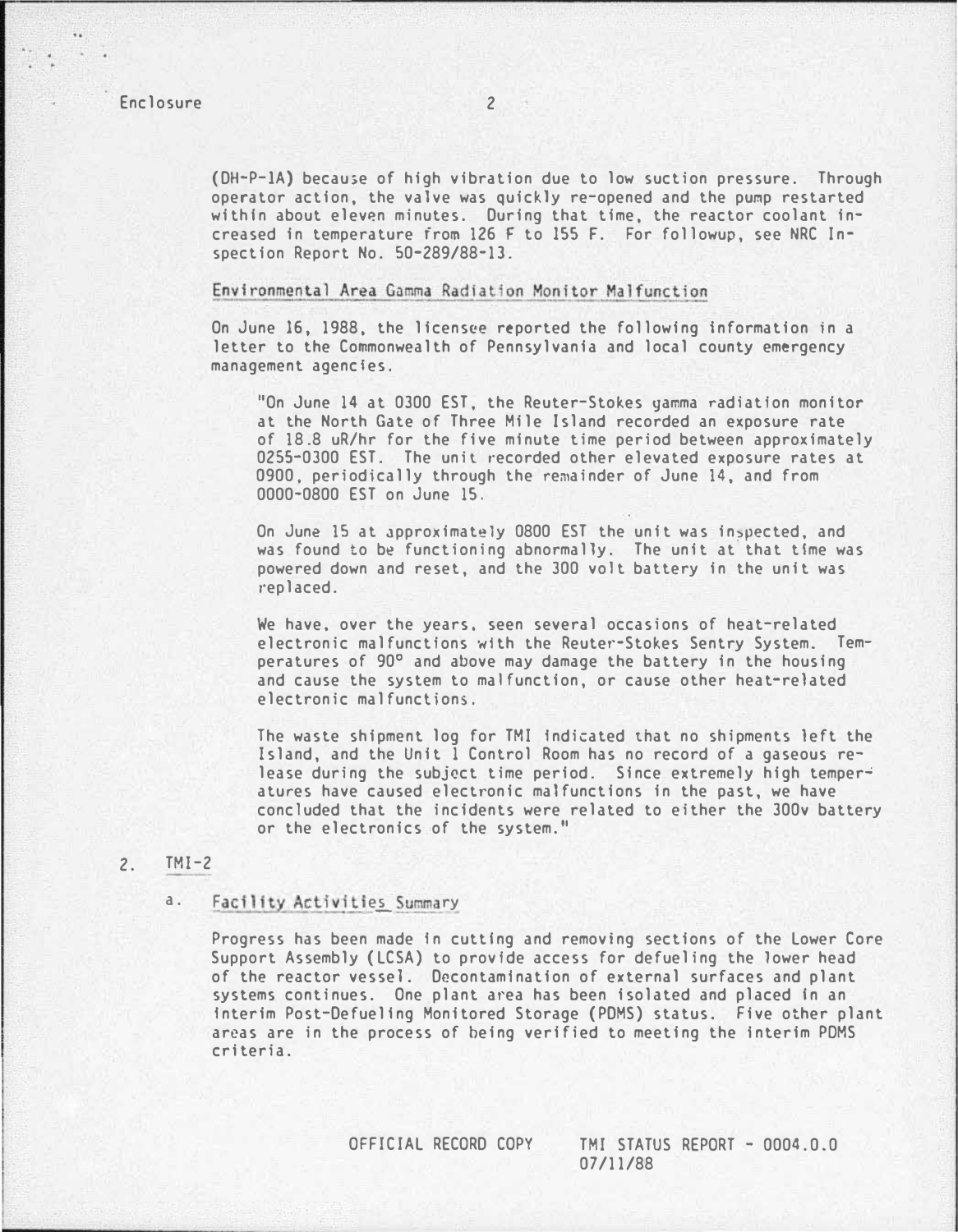(DH-P-lA) becau>e of high vibration due to low suction pressure. Through operator action, the valve was quickly re-opened and the pu�p restarted within about eleven minutes. During that time, the reactor coolant increased in temperature from 126 F to ISS F. For followup, see NRC Inspection Report No. 50-289/88-13.

#### Environmental Area Gamma Radiation Monitor Malfunction

On June 16, 1988, the licensee reported the following Information in a letter to the Commonwealth of Pennsylvania and local county emergency management agencies.

"On June 14 at 0300 EST, the Reuter-Stokes yamma radiation monitor at the North Gate of Three Mile Island recorded an exposure rate of 18.8 uR/hr for the five minute time period between approximately 02S5-0300 EST. The unit recorded other elevated exposure rates at 0900, periodically through the remainder of June 14, and from 0000-0800 EST on June 1S.

On June 15 at approximately 0800 EST the unit was inspected, and was found to be functioning abnormally. The unit at that time was powered down and reset, and the 300 volt battery in the unit was replaced.

We have, over the years, seen several occasions of heat-related electronic malfunctions with the Reuter-Stokes Sentry System. Temperatures of 90° and above may damage the battery in the housing and cause the system to malfunction, or cause other heat-related electronic malfunctions.

The waste shipment log for TMI Indicated tnat no shipments left the Island, and the Unit 1 Control Room has no record of a gaseous release during the subject time period. Since extremely high temperatures have caused electronic malfunctions in the past, we have concluded that the incidents were related to either the 300v battery or the electronics of the system."

# 2. TMI-2

## a. Facility Activities Summary

Progress has been made In cutting and removing sections of the Lower Core Support Assembly (LCSA) to provide access for defueling the lower head of the reactor vessel. Decontamination of external surfaces and plant systems continues. One plant area has been isolated and placed in an Interim Post-Defuellng Monitored Storage (PDMS) status. Five other plant areas are in the process of being verified to meeting the Interim PDMS criteria.

OFFICIAL RECORD COPY TMI STATUS REPORT - 0004.0.0 07/11/88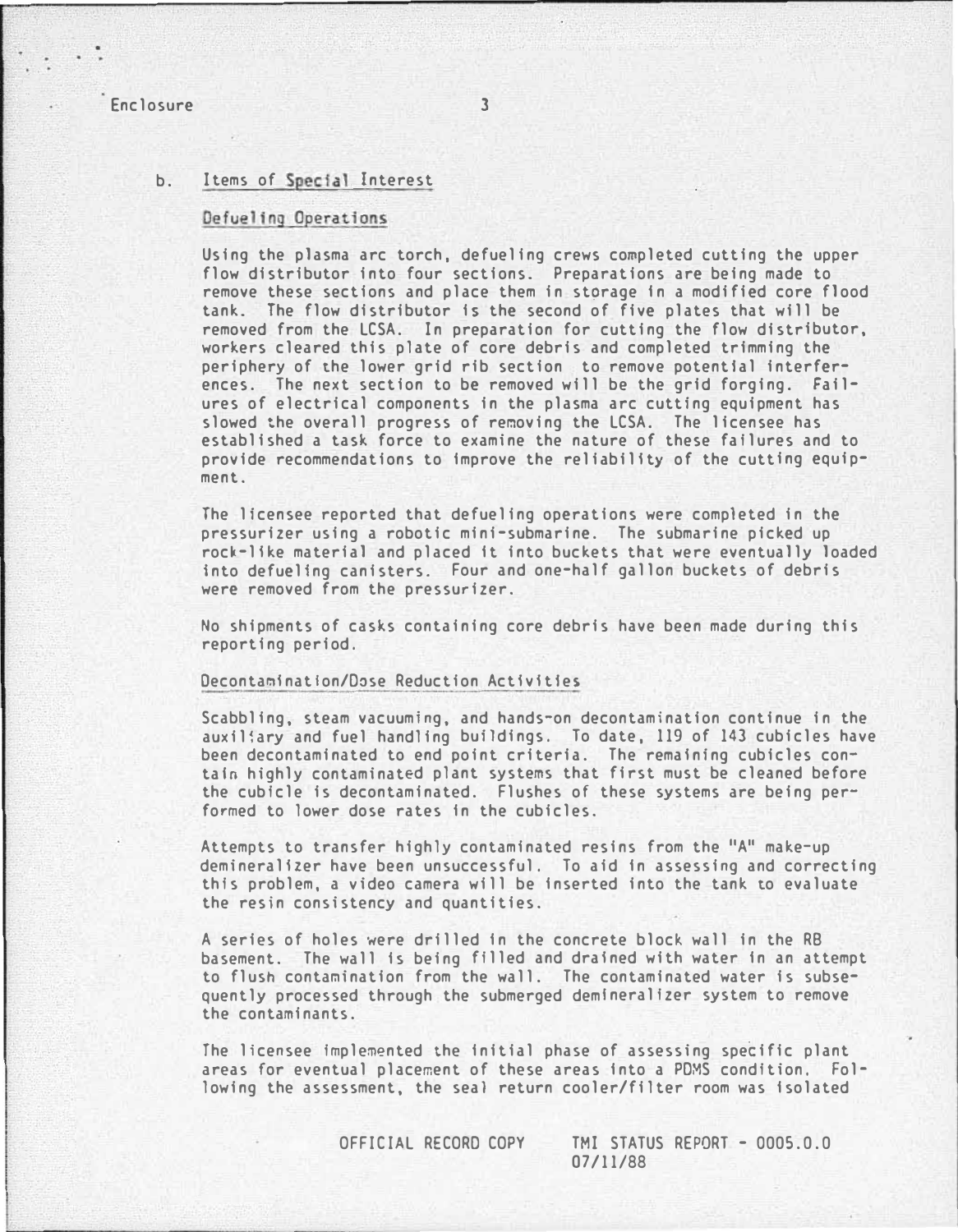## Enclosure 3

## b. Items of Special Interest

#### Defueling Operations

Using the plasma arc torch, defueling crews completed cutting the upper flow distributor into four sections. Preparations are being made to remove these sections and place them in storage in a modified core flood tank. The flow distributor Is the second of five plates that will be removed from the LCSA. In preparation for cutting the flow distributor, workers cleared this plate of core debris and completed trimming the periphery of the lower grid rib section to remove potential interferences. The next section to be removed will be the grid forging. Failures of electrical components in the plasma arc cutting equipment has slowed the overall progress of removing the LCSA. The licensee has established a task force to examine the nature of these failures and to provide recommendations to Improve the reliability of the cutting equipment.

The licensee reported that defueling operations were completed in the pressurizer using a robotic mini-submarine. The submarine picked up rock-like material and placed it into buckets that were eventually loaded into defueling canisters. Four and one-half gallon buckets of debris were removed from the pressurizer.

No shipments of casks containing core debris have been made during this reporting period.

#### Decontamination/Dose Reduction Activities

Scabbling, steam vacuuming, and hands-on decontamination continue in the auxiliary and fuel handling buildings. To date, 119 of 143 cubicles have been decontaminated to end point criteria. The remaining cubicles contain highly contaminated plant systems that first must be cleaned before the cubicle is decontaminated. Flushes of these systems are being performed to lower dose rates in the cubicles.

Attempts to transfer highly contaminated resins from the "A" make-up demineralizer have been unsuccessful. To aid In assessing and correcting this problem, a video camera will be Inserted into the tank to evaluate the resin consistency and quantities.

A series of holes were drilled in the concrete block wall in the RB basement. The wall is being filled and drained with water in an attempt to flush contamination from the wall. The contaminated water is subsequently processed through the submerged demlneralizer system to remove the contaminants.

fhe licensee implemented the Initial phase of assessing specific plant areas for eventual placement of these areas Into a PDMS condition. Following the assessment, the seal return cooler/filter room was isolated

OFFICIAL RECORD COPY TMI STATUS REPORT - 0005.0.0

07/11/88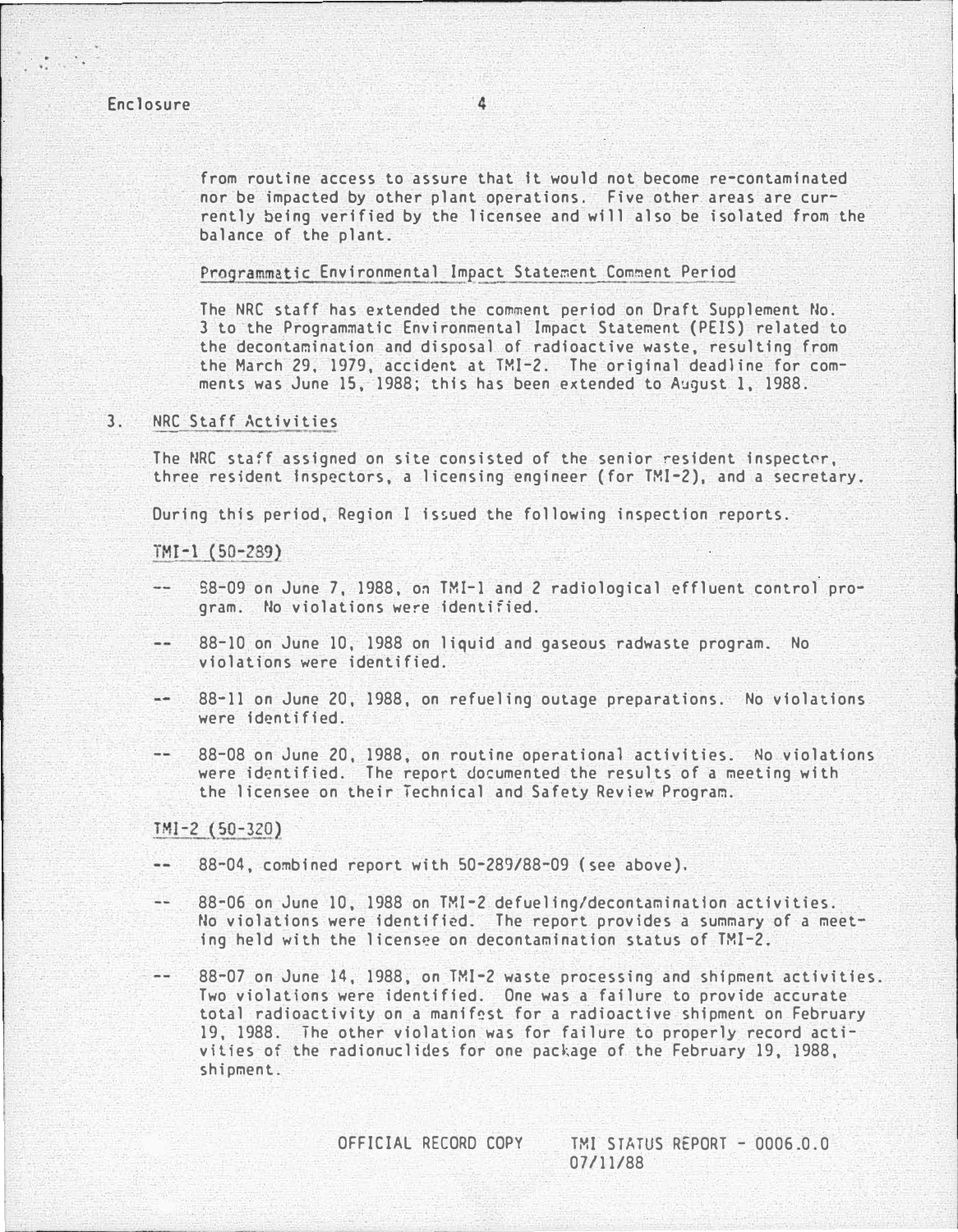# Enclosure 4

from routine access to assure that It would not become re-contaminated nor be impacted by other plant operations. Five other areas are currently being verified by the licensee and will also be isolated from the balance of the plant.

## Programmatic Environmental Impact Statement Comment Period

The NRC staff has extended the comment period on Draft Supplement No. 3 to the Programmatic Environmental Impact Statement (PElS) related to the decontamination and disposal of radioactive waste, resulting from the March 29, 1979, accident at TMI-2. The original deadline for comments was June 15, 1988; this has been extended to August 1, 1988.

## 3. NRC Staff Activities

The NRC staff assigned on site consisted of the senior resident inspector, three resident Inspectors, a licensing engineer (for TMI-2), and a secretary.

During this period, Region I issued the following inspection reports.

### $TMI-1(50-289)$

- $\cdots$ S8-09 on June 7, 1988, on TMI-1 and 2 radiological effluent control program. No violations were identified.
- 88-10 on June 10, 1988 on liquid and gaseous radwaste program. No violations were identified.
- 88-11 on June 20, 1988, on refueling outage preparations. No violations were identified.
- $-$ 88-08 on June 20, 1988, on routine operational activities. No violations were identified. The report documented the results of a meeting with the licensee on their Technical and Safety Review Program.

#### $TMI-2(50-320)$

- 88-04, combined report with 50-289/88-09 (see above).
- 88-06 on June 10, 1988 on TMI-2 defueling/decontaminatlon activities.  $- -$ No violations were identified. The report provides a summary of a meeting held with the licensee on decontamination status of TMI-2.
- $-$ 88-07 on June 14, 1988, on TMI-2 waste processing and shipment activities. Two violations were identified. One was a failure to provide accurate total radioactivity on a manif�st for a radioactive shipment on February 19, 1988. The other violation was for failure to properly record activities of the radionuclides for one package of the February 19, 1988, shipment.